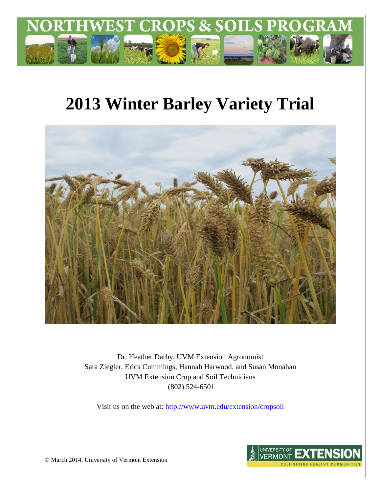

# **2013 Winter Barley Variety Trial**



Dr. Heather Darby, UVM Extension Agronomist Sara Ziegler, Erica Cummings, Hannah Harwood, and Susan Monahan UVM Extension Crop and Soil Technicians (802) 524-6501

Visit us on the web at:<http://www.uvm.edu/extension/cropsoil>



© March 2014, University of Vermont Extension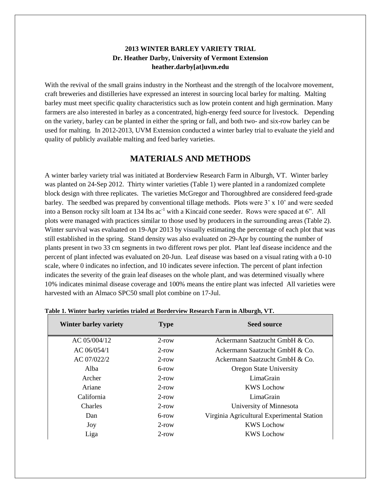#### **2013 WINTER BARLEY VARIETY TRIAL Dr. Heather Darby, University of Vermont Extension heather.darby[at]uvm.edu**

With the revival of the small grains industry in the Northeast and the strength of the localvore movement, craft breweries and distilleries have expressed an interest in sourcing local barley for malting. Malting barley must meet specific quality characteristics such as low protein content and high germination. Many farmers are also interested in barley as a concentrated, high-energy feed source for livestock. Depending on the variety, barley can be planted in either the spring or fall, and both two- and six-row barley can be used for malting. In 2012-2013, UVM Extension conducted a winter barley trial to evaluate the yield and quality of publicly available malting and feed barley varieties.

## **MATERIALS AND METHODS**

A winter barley variety trial was initiated at Borderview Research Farm in Alburgh, VT. Winter barley was planted on 24-Sep 2012. Thirty winter varieties (Table 1) were planted in a randomized complete block design with three replicates. The varieties McGregor and Thoroughbred are considered feed-grade barley. The seedbed was prepared by conventional tillage methods. Plots were 3' x 10' and were seeded into a Benson rocky silt loam at 134 lbs ac<sup>-1</sup> with a Kincaid cone seeder. Rows were spaced at 6". All plots were managed with practices similar to those used by producers in the surrounding areas (Table 2). Winter survival was evaluated on 19-Apr 2013 by visually estimating the percentage of each plot that was still established in the spring. Stand density was also evaluated on 29-Apr by counting the number of plants present in two 33 cm segments in two different rows per plot. Plant leaf disease incidence and the percent of plant infected was evaluated on 20-Jun. Leaf disease was based on a visual rating with a 0-10 scale, where 0 indicates no infection, and 10 indicates severe infection. The percent of plant infection indicates the severity of the grain leaf diseases on the whole plant, and was determined visually where 10% indicates minimal disease coverage and 100% means the entire plant was infected All varieties were harvested with an Almaco SPC50 small plot combine on 17-Jul.

| <b>Winter barley variety</b><br><b>Type</b> |          | <b>Seed source</b>                         |  |  |
|---------------------------------------------|----------|--------------------------------------------|--|--|
| AC 05/004/12                                | $2$ -row | Ackermann Saatzucht GmbH & Co.             |  |  |
| AC 06/054/1                                 | $2$ -row | Ackermann Saatzucht GmbH & Co.             |  |  |
| AC 07/022/2                                 | $2$ -row | Ackermann Saatzucht GmbH & Co.             |  |  |
| Alba                                        | 6-row    | <b>Oregon State University</b>             |  |  |
| Archer                                      | $2$ -row | LimaGrain                                  |  |  |
| Ariane                                      | $2$ -row | <b>KWS</b> Lochow                          |  |  |
| California                                  | $2$ -row | LimaGrain                                  |  |  |
| Charles<br>$2$ -row                         |          | University of Minnesota                    |  |  |
| Dan<br>$6$ -row                             |          | Virginia Agricultural Experimental Station |  |  |
| Joy                                         | $2$ -row | <b>KWS</b> Lochow                          |  |  |
| Liga                                        | $2$ -row | <b>KWS</b> Lochow                          |  |  |

**Table 1. Winter barley varieties trialed at Borderview Research Farm in Alburgh, VT.**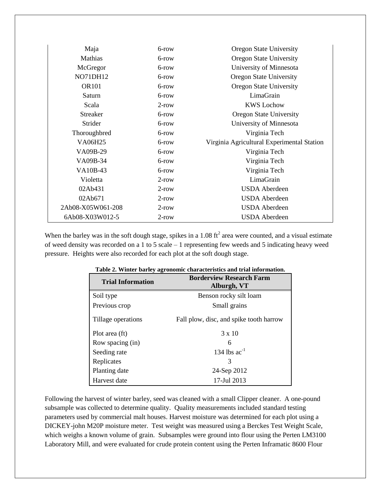| Maja              | 6-row    | <b>Oregon State University</b>             |
|-------------------|----------|--------------------------------------------|
| Mathias           | 6-row    | <b>Oregon State University</b>             |
| McGregor          | 6-row    | University of Minnesota                    |
| <b>NO71DH12</b>   | 6-row    | <b>Oregon State University</b>             |
| <b>OR101</b>      | 6-row    | <b>Oregon State University</b>             |
| Saturn            | 6-row    | LimaGrain                                  |
| Scala             | $2$ -row | <b>KWS Lochow</b>                          |
| <b>Streaker</b>   | 6-row    | <b>Oregon State University</b>             |
| Strider           | 6-row    | University of Minnesota                    |
| Thoroughbred      | 6-row    | Virginia Tech                              |
| <b>VA06H25</b>    | 6-row    | Virginia Agricultural Experimental Station |
| VA09B-29          | 6-row    | Virginia Tech                              |
| VA09B-34          | 6-row    | Virginia Tech                              |
| VA10B-43          | 6-row    | Virginia Tech                              |
| Violetta          | $2$ -row | LimaGrain                                  |
| 02Ab431           | $2$ -row | <b>USDA</b> Aberdeen                       |
| 02Ab671           | $2$ -row | <b>USDA</b> Aberdeen                       |
| 2Ab08-X05W061-208 | $2$ -row | <b>USDA</b> Aberdeen                       |
| 6Ab08-X03W012-5   | $2$ -row | <b>USDA</b> Aberdeen                       |

When the barley was in the soft dough stage, spikes in a 1.08 ft<sup>2</sup> area were counted, and a visual estimate of weed density was recorded on a 1 to 5 scale – 1 representing few weeds and 5 indicating heavy weed pressure. Heights were also recorded for each plot at the soft dough stage.

|                          | radic 2. Whiter barrey agronomic enaracteristics and trial information. |
|--------------------------|-------------------------------------------------------------------------|
| <b>Trial Information</b> | <b>Borderview Research Farm</b><br>Alburgh, VT                          |
| Soil type                | Benson rocky silt loam                                                  |
| Previous crop            | Small grains                                                            |
| Tillage operations       | Fall plow, disc, and spike tooth harrow                                 |
| Plot area (ft)           | $3 \times 10$                                                           |
| Row spacing (in)         | 6                                                                       |
| Seeding rate             | 134 lbs $ac^{-1}$                                                       |
| Replicates               | 3                                                                       |
| Planting date            | 24-Sep 2012                                                             |
| Harvest date             | 17-Jul 2013                                                             |

| Table 2. Winter barley agronomic characteristics and trial information. |  |  |  |  |  |  |  |  |
|-------------------------------------------------------------------------|--|--|--|--|--|--|--|--|
|-------------------------------------------------------------------------|--|--|--|--|--|--|--|--|

Following the harvest of winter barley, seed was cleaned with a small Clipper cleaner. A one-pound subsample was collected to determine quality. Quality measurements included standard testing parameters used by commercial malt houses. Harvest moisture was determined for each plot using a DICKEY-john M20P moisture meter. Test weight was measured using a Berckes Test Weight Scale, which weighs a known volume of grain. Subsamples were ground into flour using the Perten LM3100 Laboratory Mill, and were evaluated for crude protein content using the Perten Inframatic 8600 Flour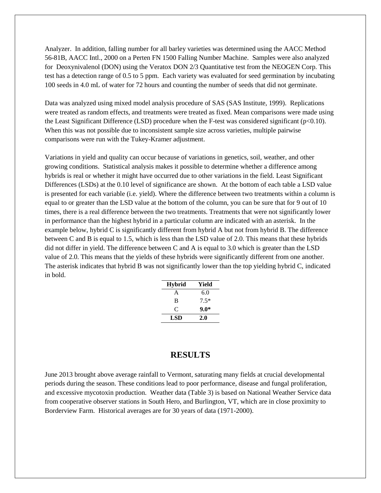Analyzer. In addition, falling number for all barley varieties was determined using the AACC Method 56-81B, AACC Intl., 2000 on a Perten FN 1500 Falling Number Machine. Samples were also analyzed for Deoxynivalenol (DON) using the Veratox DON 2/3 Quantitative test from the NEOGEN Corp. This test has a detection range of 0.5 to 5 ppm. Each variety was evaluated for seed germination by incubating 100 seeds in 4.0 mL of water for 72 hours and counting the number of seeds that did not germinate.

Data was analyzed using mixed model analysis procedure of SAS (SAS Institute, 1999). Replications were treated as random effects, and treatments were treated as fixed. Mean comparisons were made using the Least Significant Difference (LSD) procedure when the F-test was considered significant ( $p<0.10$ ). When this was not possible due to inconsistent sample size across varieties, multiple pairwise comparisons were run with the Tukey-Kramer adjustment.

Variations in yield and quality can occur because of variations in genetics, soil, weather, and other growing conditions. Statistical analysis makes it possible to determine whether a difference among hybrids is real or whether it might have occurred due to other variations in the field. Least Significant Differences (LSDs) at the 0.10 level of significance are shown. At the bottom of each table a LSD value is presented for each variable (i.e. yield). Where the difference between two treatments within a column is equal to or greater than the LSD value at the bottom of the column, you can be sure that for 9 out of 10 times, there is a real difference between the two treatments. Treatments that were not significantly lower in performance than the highest hybrid in a particular column are indicated with an asterisk. In the example below, hybrid C is significantly different from hybrid A but not from hybrid B. The difference between C and B is equal to 1.5, which is less than the LSD value of 2.0. This means that these hybrids did not differ in yield. The difference between C and A is equal to 3.0 which is greater than the LSD value of 2.0. This means that the yields of these hybrids were significantly different from one another. The asterisk indicates that hybrid B was not significantly lower than the top yielding hybrid C, indicated in bold.

| <b>Hybrid</b> | Yield  |
|---------------|--------|
| A             | 6.0    |
| R             | $7.5*$ |
| C             | $9.0*$ |
| LSD           | 2.0    |

#### **RESULTS**

June 2013 brought above average rainfall to Vermont, saturating many fields at crucial developmental periods during the season. These conditions lead to poor performance, disease and fungal proliferation, and excessive mycotoxin production. Weather data (Table 3) is based on National Weather Service data from cooperative observer stations in South Hero, and Burlington, VT, which are in close proximity to Borderview Farm. Historical averages are for 30 years of data (1971-2000).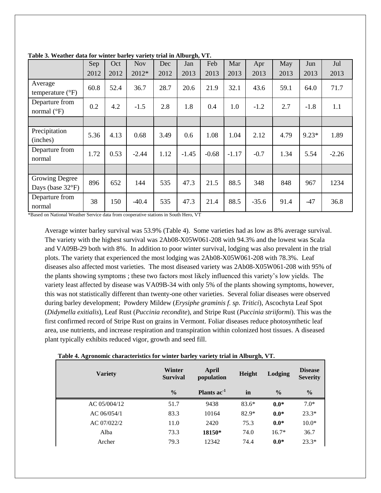|                                                     | Sep  | Oct  | <b>Nov</b> | Dec  | 87<br>Jan | Feb     | Mar     | Apr     | May  | Jun     | Jul     |
|-----------------------------------------------------|------|------|------------|------|-----------|---------|---------|---------|------|---------|---------|
|                                                     | 2012 | 2012 | 2012*      | 2012 | 2013      | 2013    | 2013    | 2013    | 2013 | 2013    | 2013    |
| Average<br>temperature $(^{\circ}F)$                | 60.8 | 52.4 | 36.7       | 28.7 | 20.6      | 21.9    | 32.1    | 43.6    | 59.1 | 64.0    | 71.7    |
| Departure from<br>normal $(^{\circ}F)$              | 0.2  | 4.2  | $-1.5$     | 2.8  | 1.8       | 0.4     | 1.0     | $-1.2$  | 2.7  | $-1.8$  | 1.1     |
|                                                     |      |      |            |      |           |         |         |         |      |         |         |
| Precipitation<br>(inches)                           | 5.36 | 4.13 | 0.68       | 3.49 | 0.6       | 1.08    | 1.04    | 2.12    | 4.79 | $9.23*$ | 1.89    |
| Departure from<br>normal                            | 1.72 | 0.53 | $-2.44$    | 1.12 | $-1.45$   | $-0.68$ | $-1.17$ | $-0.7$  | 1.34 | 5.54    | $-2.26$ |
|                                                     |      |      |            |      |           |         |         |         |      |         |         |
| <b>Growing Degree</b><br>Days (base $32^{\circ}F$ ) | 896  | 652  | 144        | 535  | 47.3      | 21.5    | 88.5    | 348     | 848  | 967     | 1234    |
| Departure from<br>normal                            | 38   | 150  | $-40.4$    | 535  | 47.3      | 21.4    | 88.5    | $-35.6$ | 91.4 | $-47$   | 36.8    |

**Table 3. Weather data for winter barley variety trial in Alburgh, VT.**

\*Based on National Weather Service data from cooperative stations in South Hero, VT

Average winter barley survival was 53.9% (Table 4). Some varieties had as low as 8% average survival. The variety with the highest survival was 2Ab08-X05W061-208 with 94.3% and the lowest was Scala and VA09B-29 both with 8%. In addition to poor winter survival, lodging was also prevalent in the trial plots. The variety that experienced the most lodging was 2Ab08-X05W061-208 with 78.3%. Leaf diseases also affected most varieties. The most diseased variety was 2Ab08-X05W061-208 with 95% of the plants showing symptoms ; these two factors most likely influenced this variety's low yields. The variety least affected by disease was VA09B-34 with only 5% of the plants showing symptoms, however, this was not statistically different than twenty-one other varieties. Several foliar diseases were observed during barley development; Powdery Mildew (*Erysiphe graminis f. sp. Tritici*), Ascochyta Leaf Spot (*Didymella exitialis*), Leaf Rust (*Puccinia recondite*), and Stripe Rust (*Puccinia striiformi*). This was the first confirmed record of Stripe Rust on grains in Vermont. Foliar diseases reduce photosynthetic leaf area, use nutrients, and increase respiration and transpiration within colonized host tissues. A diseased plant typically exhibits reduced vigor, growth and seed fill.

| <b>Variety</b> | Winter<br><b>Survival</b> | April<br>population    | Height  | Lodging       | <b>Disease</b><br><b>Severity</b> |
|----------------|---------------------------|------------------------|---------|---------------|-----------------------------------|
|                | $\frac{0}{0}$             | Plants ac <sup>1</sup> | in      | $\frac{0}{0}$ | $\frac{0}{0}$                     |
| AC 05/004/12   | 51.7                      | 9438                   | $83.6*$ | $0.0*$        | $7.0*$                            |
| AC 06/054/1    | 83.3                      | 10164                  | $82.9*$ | $0.0*$        | $23.3*$                           |
| AC 07/022/2    | 11.0                      | 2420                   | 75.3    | $0.0*$        | $10.0*$                           |
| Alba           | 73.3                      | 18150*                 | 74.0    | $16.7*$       | 36.7                              |
| Archer         | 79.3                      | 12342                  | 74.4    | $0.0*$        | $23.3*$                           |

| Table 4. Agronomic characteristics for winter barley variety trial in Alburgh, VT. |  |  |  |
|------------------------------------------------------------------------------------|--|--|--|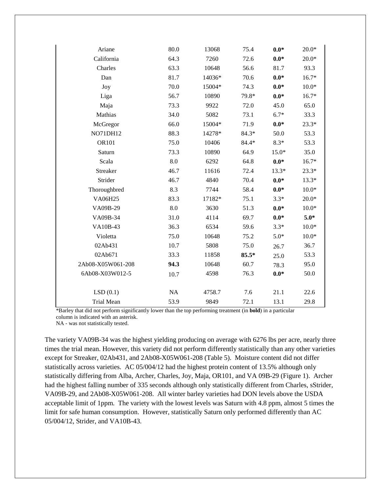| Ariane            | 80.0     | 13068  | 75.4    | $0.0*$  | $20.0*$ |
|-------------------|----------|--------|---------|---------|---------|
| California        | 64.3     | 7260   | 72.6    | $0.0*$  | $20.0*$ |
| Charles           | 63.3     | 10648  | 56.6    | 81.7    | 93.3    |
| Dan               | 81.7     | 14036* | 70.6    | $0.0*$  | $16.7*$ |
| Joy               | 70.0     | 15004* | 74.3    | $0.0*$  | $10.0*$ |
| Liga              | 56.7     | 10890  | 79.8*   | $0.0*$  | $16.7*$ |
| Maja              | 73.3     | 9922   | 72.0    | 45.0    | 65.0    |
| Mathias           | 34.0     | 5082   | 73.1    | $6.7*$  | 33.3    |
| McGregor          | 66.0     | 15004* | 71.9    | $0.0*$  | 23.3*   |
| NO71DH12          | 88.3     | 14278* | $84.3*$ | 50.0    | 53.3    |
| OR101             | 75.0     | 10406  | 84.4*   | $8.3*$  | 53.3    |
| Saturn            | 73.3     | 10890  | 64.9    | $15.0*$ | 35.0    |
| Scala             | 8.0      | 6292   | 64.8    | $0.0*$  | $16.7*$ |
| Streaker          | 46.7     | 11616  | 72.4    | $13.3*$ | 23.3*   |
| Strider           | 46.7     | 4840   | 70.4    | $0.0*$  | $13.3*$ |
| Thoroughbred      | 8.3      | 7744   | 58.4    | $0.0*$  | $10.0*$ |
| VA06H25           | 83.3     | 17182* | 75.1    | $3.3*$  | $20.0*$ |
| VA09B-29          | 8.0      | 3630   | 51.3    | $0.0*$  | $10.0*$ |
| VA09B-34          | 31.0     | 4114   | 69.7    | $0.0*$  | $5.0*$  |
| VA10B-43          | 36.3     | 6534   | 59.6    | $3.3*$  | $10.0*$ |
| Violetta          | 75.0     | 10648  | 75.2    | $5.0*$  | $10.0*$ |
| 02Ab431           | 10.7     | 5808   | 75.0    | 26.7    | 36.7    |
| 02Ab671           | 33.3     | 11858  | 85.5*   | 25.0    | 53.3    |
| 2Ab08-X05W061-208 | 94.3     | 10648  | 60.7    | 78.3    | 95.0    |
| 6Ab08-X03W012-5   | 10.7     | 4598   | 76.3    | $0.0*$  | 50.0    |
|                   |          |        |         |         |         |
| LSD(0.1)          | $\rm NA$ | 4758.7 | 7.6     | 21.1    | 22.6    |
| <b>Trial Mean</b> | 53.9     | 9849   | 72.1    | 13.1    | 29.8    |

\*Barley that did not perform significantly lower than the top performing treatment (in **bold**) in a particular column is indicated with an asterisk.

NA - was not statistically tested.

The variety VA09B-34 was the highest yielding producing on average with 6276 lbs per acre, nearly three times the trial mean. However, this variety did not perform differently statistically than any other varieties except for Streaker, 02Ab431, and 2Ab08-X05W061-208 (Table 5). Moisture content did not differ statistically across varieties. AC 05/004/12 had the highest protein content of 13.5% although only statistically differing from Alba, Archer, Charles, Joy, Maja, OR101, and VA 09B-29 (Figure 1). Archer had the highest falling number of 335 seconds although only statistically different from Charles, sStrider, VA09B-29, and 2Ab08-X05W061-208. All winter barley varieties had DON levels above the USDA acceptable limit of 1ppm. The variety with the lowest levels was Saturn with 4.8 ppm, almost 5 times the limit for safe human consumption. However, statistically Saturn only performed differently than AC 05/004/12, Strider, and VA10B-43.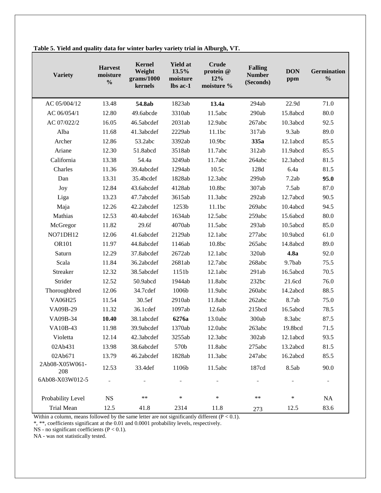| <b>Variety</b>        | <b>Harvest</b><br>moisture<br>$\frac{0}{0}$ | <b>Kernel</b><br>Weight<br>grams/1000<br>kernels | <b>Yield at</b><br>13.5%<br>moisture<br>lbs ac-1 | <b>Crude</b><br>protein @<br>12%<br>moisture % | <b>Falling</b><br><b>Number</b><br>(Seconds) | <b>DON</b><br>ppm | <b>Germination</b><br>$\frac{0}{0}$ |
|-----------------------|---------------------------------------------|--------------------------------------------------|--------------------------------------------------|------------------------------------------------|----------------------------------------------|-------------------|-------------------------------------|
| AC 05/004/12          | 13.48                                       | 54.8ab                                           | 1823ab                                           | 13.4a                                          | 294ab                                        | 22.9d             | 71.0                                |
| AC 06/054/1           | 12.80                                       | 49.6abcde                                        | 3310ab                                           | 11.5abc                                        | 290ab                                        | 15.8abcd          | 80.0                                |
| AC 07/022/2           | 16.05                                       | 46.5abcdef                                       | 2031ab                                           | 12.9abc                                        | 267abc                                       | 10.3abcd          | 92.5                                |
| Alba                  | 11.68                                       | 41.3abcdef                                       | 2229ab                                           | 11.1bc                                         | 317ab                                        | 9.3ab             | 89.0                                |
| Archer                | 12.86                                       | 53.2abc                                          | 3392ab                                           | 10.9bc                                         | 335a                                         | 12.1abcd          | 85.5                                |
| Ariane                | 12.30                                       | 51.8abcd                                         | 3518ab                                           | 11.7abc                                        | 312ab                                        | 11.9abcd          | 85.5                                |
| California            | 13.38                                       | 54.4a                                            | 3249ab                                           | 11.7abc                                        | 264abc                                       | 12.3abcd          | 81.5                                |
| Charles               | 11.36                                       | 39.4abcdef                                       | 1294ab                                           | 10.5c                                          | 128d                                         | 6.4a              | 81.5                                |
| Dan                   | 13.31                                       | 35.4bcdef                                        | 1828ab                                           | 12.3abc                                        | 299ab                                        | 7.2ab             | 95.0                                |
| Joy                   | 12.84                                       | 43.6abcdef                                       | 4128ab                                           | 10.8bc                                         | 307ab                                        | 7.5ab             | 87.0                                |
| Liga                  | 13.23                                       | 47.7abcdef                                       | 3615ab                                           | 11.3abc                                        | 292ab                                        | 12.7abcd          | 90.5                                |
| Maja                  | 12.26                                       | 42.2abcdef                                       | 1253b                                            | 11.1bc                                         | 269abc                                       | 10.4abcd          | 94.5                                |
| Mathias               | 12.53                                       | 40.4abcdef                                       | 1634ab                                           | 12.5abc                                        | 259abc                                       | 15.6abcd          | 80.0                                |
| McGregor              | 11.82                                       | 29.6f                                            | 4070ab                                           | 11.5abc                                        | 293ab                                        | 10.5abcd          | 85.0                                |
| NO71DH12              | 12.06                                       | 41.6abcdef                                       | 2129ab                                           | 12.1abc                                        | 277abc                                       | 10.9abcd          | 61.0                                |
| <b>OR101</b>          | 11.97                                       | 44.8abcdef                                       | 1146ab                                           | 10.8bc                                         | 265abc                                       | 14.8abcd          | 89.0                                |
| Saturn                | 12.29                                       | 37.8abcdef                                       | 2672ab                                           | 12.1abc                                        | 320ab                                        | 4.8a              | 92.0                                |
| Scala                 | 11.84                                       | 36.2abcdef                                       | 2681ab                                           | 12.7abc                                        | 268abc                                       | 9.7bab            | 75.5                                |
| Streaker              | 12.32                                       | 38.5abcdef                                       | 1151b                                            | 12.1abc                                        | 291ab                                        | 16.5abcd          | 70.5                                |
| Strider               | 12.52                                       | 50.9abcd                                         | 1944ab                                           | 11.8abc                                        | 232bc                                        | 21.6cd            | 76.0                                |
| Thoroughbred          | 12.06                                       | 34.7cdef                                         | 1006b                                            | 11.9abc                                        | 260abc                                       | 14.2abcd          | 88.5                                |
| <b>VA06H25</b>        | 11.54                                       | 30.5ef                                           | 2910ab                                           | 11.8abc                                        | 262abc                                       | 8.7ab             | 75.0                                |
| VA09B-29              | 11.32                                       | 36.1cdef                                         | 1097ab                                           | 12.6ab                                         | 215bcd                                       | 16.5abcd          | 78.5                                |
| VA09B-34              | 10.40                                       | 38.1abcdef                                       | 6276a                                            | 13.0abc                                        | 300ab                                        | 8.3abc            | 87.5                                |
| VA10B-43              | 11.98                                       | 39.9abcdef                                       | 1370ab                                           | 12.0abc                                        | 263abc                                       | 19.8bcd           | 71.5                                |
| Violetta              | 12.14                                       | 42.3abcdef                                       | 3255ab                                           | 12.3abc                                        | 302ab                                        | 12.1abcd          | 93.5                                |
| 02Ab431               | 13.98                                       | 38.6abcdef                                       | 570b                                             | 11.8abc                                        | 275abc                                       | 13.2abcd          | 81.5                                |
| 02Ab671               | 13.79                                       | 46.2abcdef                                       | 1828ab                                           | 11.3abc                                        | 247abc                                       | 16.2abcd          | 85.5                                |
| 2Ab08-X05W061-<br>208 | 12.53                                       | 33.4def                                          | 1106b                                            | 11.5abc                                        | 187cd                                        | 8.5ab             | 90.0                                |
| 6Ab08-X03W012-5       |                                             |                                                  |                                                  |                                                |                                              |                   | Ξ.                                  |
| Probability Level     | $_{\rm NS}$                                 | **                                               | $\ast$                                           | $\ast$                                         | **                                           | $\ast$            | NA                                  |
| Trial Mean            | 12.5                                        | 41.8                                             | 2314                                             | 11.8                                           | 273                                          | 12.5              | 83.6                                |

**Table 5. Yield and quality data for winter barley variety trial in Alburgh, VT.**

Within a column, means followed by the same letter are not significantly different  $(P < 0.1)$ .

\*, \*\*, coefficients significant at the 0.01 and 0.0001 probability levels, respectively.

NS - no significant coefficients  $(P < 0.1)$ .

NA - was not statistically tested.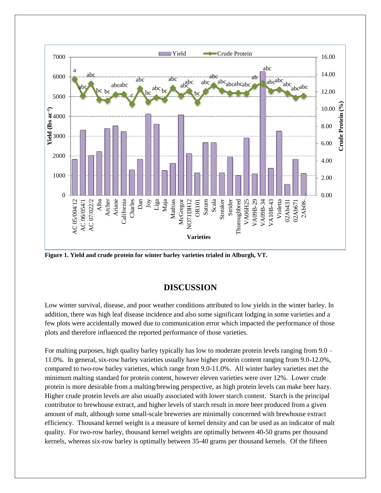

**Figure 1. Yield and crude protein for winter barley varieties trialed in Alburgh, VT.**

## **DISCUSSION**

Low winter survival, disease, and poor weather conditions attributed to low yields in the winter barley. In addition, there was high leaf disease incidence and also some significant lodging in some varieties and a few plots were accidentally mowed due to communication error which impacted the performance of those plots and therefore influenced the reported performance of those varieties.

For malting purposes, high quality barley typically has low to moderate protein levels ranging from 9.0 – 11.0%. In general, six-row barley varieties usually have higher protein content ranging from 9.0-12.0%, compared to two-row barley varieties, which range from 9.0-11.0%. All winter barley varieties met the minimum malting standard for protein content, however eleven varieties were over 12%. Lower crude protein is more desirable from a malting/brewing perspective, as high protein levels can make beer hazy. Higher crude protein levels are also usually associated with lower starch content. Starch is the principal contributor to brewhouse extract, and higher levels of starch result in more beer produced from a given amount of malt, although some small-scale breweries are minimally concerned with brewhouse extract efficiency. Thousand kernel weight is a measure of kernel density and can be used as an indicator of malt quality. For two-row barley, thousand kernel weights are optimally between 40-50 grams per thousand kernels, whereas six-row barley is optimally between 35-40 grams per thousand kernels. Of the fifteen